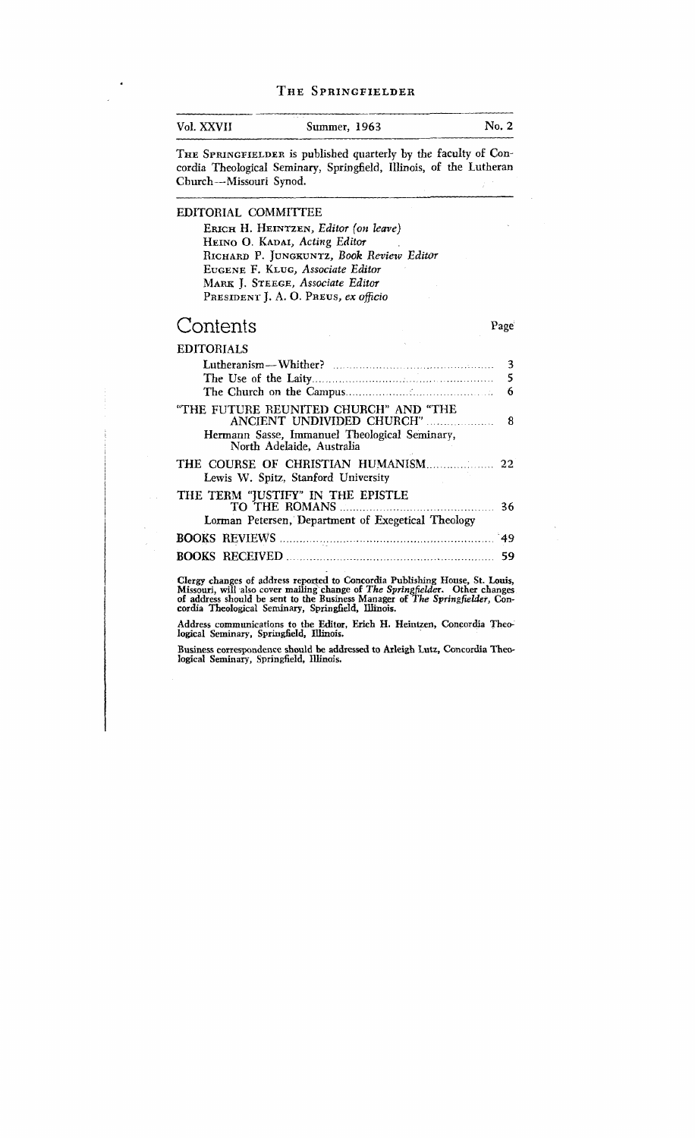| Vol. XXVII             | Summer, 1963                                                                                                                                                                                                                                 | No. 2            |
|------------------------|----------------------------------------------------------------------------------------------------------------------------------------------------------------------------------------------------------------------------------------------|------------------|
| Church-Missouri Synod. | THE SPRINGFIELDER is published quarterly by the faculty of Con-<br>cordia Theological Seminary, Springfield, Illinois, of the Lutheran                                                                                                       |                  |
| EDITORIAL COMMITTEE    | ERICH H. HEINTZEN, Editor (on leave)<br>HEINO O. KADAI, Acting Editor<br>RICHARD P. JUNGKUNTZ, Book Review Editor<br>EUGENE F. KLUG, Associate Editor<br>MARK J. STEEGE, Associate Editor                                                    |                  |
| Contents               | PRESIDENT J. A. O. PREUS, ex officio                                                                                                                                                                                                         | Page             |
| <b>EDITORIALS</b>      | "THE FUTURE REUNITED CHURCH" AND "THE<br>ANCIENT UNDIVIDED CHURCH"                                                                                                                                                                           | 3<br>5<br>6<br>8 |
|                        | Hermann Sasse, Immanuel Theological Seminary,<br>North Adelaide, Australia                                                                                                                                                                   |                  |
|                        | Lewis W. Spitz, Stanford University<br>THE TERM "JUSTIFY" IN THE EPISTLE<br>Lorman Petersen, Department of Exegetical Theology                                                                                                               | 36               |
|                        | BOOKS REVIEWS 29                                                                                                                                                                                                                             |                  |
|                        |                                                                                                                                                                                                                                              |                  |
|                        | Clergy changes of address reported to Concordia Publishing House, St. Louis,<br>Missouri, will also cover mailing change of The Springfielder. Other changes<br>of address should be sent to the Business Manager of The Springfielder, Con- |                  |

**cordia Theological Seminary, Springfield, Illinois.** 

Address communications to the Editor, Erich H. Heintzen, Concordia Theological Seminary, Springfield, Illinois.

Business correspondence should be addressed to Arleigh Lutz, Concordia Theo**logical Seminary, Springfield, Illinois.**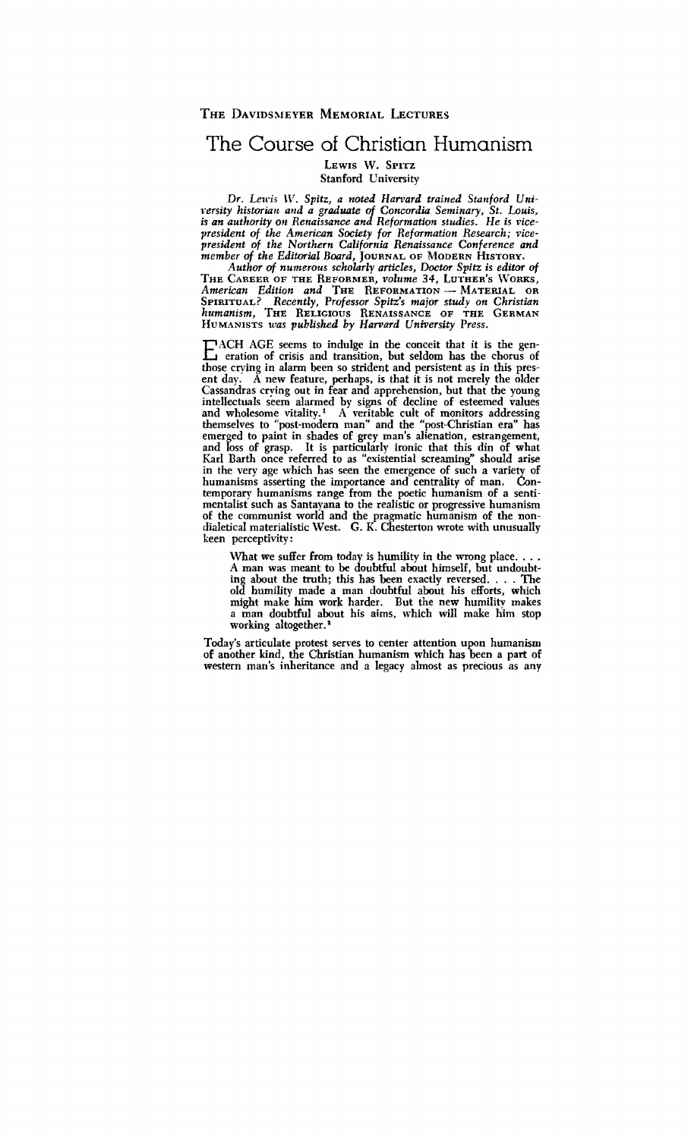## The Course of Christian Humanism

LEWIS W. SPITZ Stanford University

Dr. Lewis W. Spitz, a noted Harvard trained Stanford University historian and a graduate of Concordia Seminary, St. Louis, is an authority on Renaissance and Reformation studies. He is vicepresident of the American Society for Reformation Research; vicepresident of the Northern California Renaissance Conference and member of the Editorial Board, JOURNAL OF MODERN HISTORY.

Author of numerous scholarly articles, Doctor Spitz is editor of<br>
THE CAREER OF THE REFORMER, volume 34, LUTHER'S WORKS,<br>
American Edition and THE REFORMATION - MATERIAL OR<br>
SEITTIMATER PECARELY PRESSOR SPITZ AND CHRISTIAN THE CAREER OF THE REFORMER, volume 34, LUTHER'S WORKS,<br>American Edition and THE REFORMATION — MATERIAL OR SPIRITUAL? Recently, Professor Spitz's major study on Christian humanism. THE RELIGIOUS RENAISSANCE OF THE GERMAN HUMANISTS was published by Harvard University Press.

E ACH AGE seems to indulge in the conceit that it is the generation of crisis and transition, but seldom has the chorus of those crying in alarm been so strident and persistent as in this present day.  $\overrightarrow{A}$  new feature, perhaps, is that it is not merely the older Cassandras crying out in fear and apprehension, but that the young intellectuals seem alarmed by signs of decline of esteemed values and wholesome vitality.<sup>1</sup> A veritable cult of monitors addressing themselves to "post-modem man" and the "post-Christian era" has emerged to paint in shades of grey man's alienation, estrangement, and loss of grasp. It is particularly ironic that this din of what Karl Barth once referred to as "existential screaming" should arise in the very age which has seen the emergence of such a variety of humanisms asserting the importance and centrality of man. Contemporary humanisms range from the poetic humanism of a sentimentalist such as Santayana to the realistic or progressive humanism of the communist world and the pragmatic humanism of the nondialetical materialistic West. G. **K.** gsterton wmte with unusually keen perceptivity :

What we suffer from today is humility in the wrong place. . . . A man was meant to be doubtful about himself, but undoubting about the truth; this has been exactly reversed.  $\ldots$ . The old humility made a man doubtful about his efforts, which might make him work harder. But the new humility makes a man doubtful about his aims, which will make him stop working altogether.<sup>3</sup>

Today's articulate protest serves to center attention upon humanism of another kind, the Christian humanism which has been a part of western man's inheritance and a legacy almost as precious as any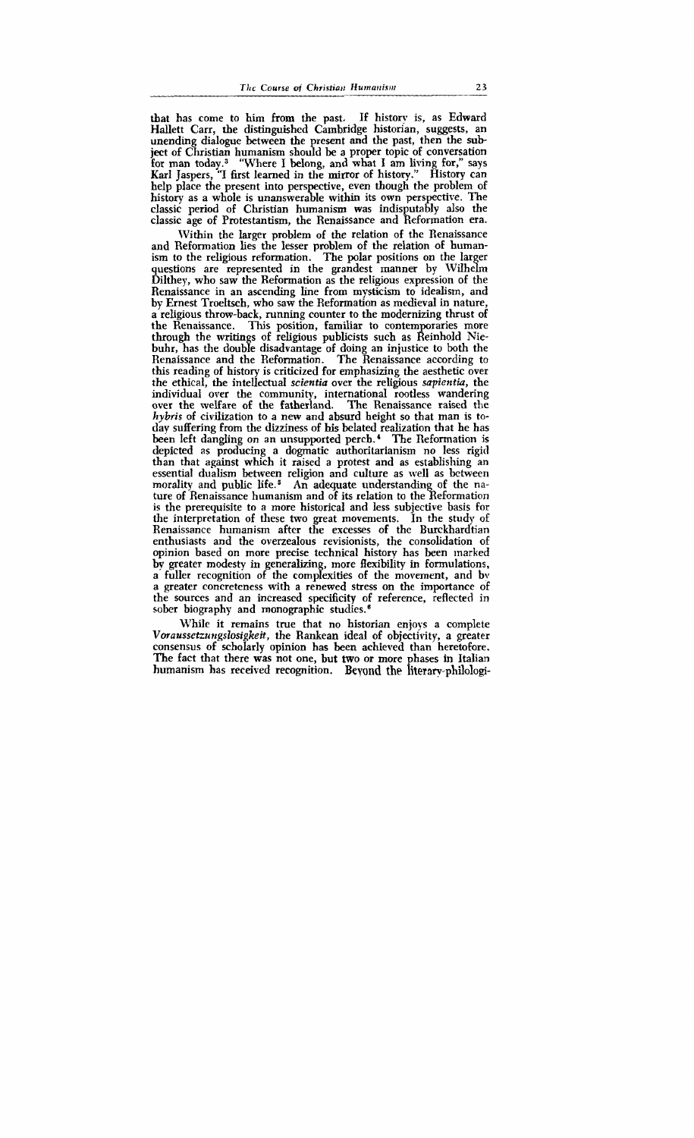that has come to him from the past, If history is, as Edward Hallett Carr, the distinguished Cambridge historian, suggests, an unending dialogue between the present and the past, then the **sub**ject of Christian humanism should be a proper topic of conversation for man today.<sup>3</sup> "Where I belong, and what I am living for," says Karl Jaspers, "I first learned in the mirror of history." History can help place the present into perspective, even though the problem of history as a whole is unanswerable within its own perspective. The classic period of Christian humanism was indisputably also the classic age of Protestantism, the Renaissance and Reformation era.

Within the larger problem of the relation of the Renaissance and Reformation lies the lesser problem of the relation of humanism to the religious reformation. The polar positions on the larger questions are represented in the grandest manner by Wilhelm Dilthey, who saw the Reformation as the religious expression of the Renaissance in an ascending line from mysticism to idealism, and by Ernest Troeltsch, who saw the Reformation as medieval in nature, a religious throw-back, running counter to the modernizing thrust of the Renaissance. This position, familiar to contemporaries more through the writings of religious publicists such as Reinhold Niebuhr, has the doubfe disadvantage of doing an injustice to both the Renaissance and the Reformation. The Renaissance according to this reading of history is criticized for emphasizing the aesthetic over the ethical, the intellectual scientia over the religious sapientia, the individual over the community, international rootless wandering over the welfare of the fatherland. The Renaissance raised the hybris of civilization to a new and absurd height so that man is today suffering from the dizziness of **his** belated realization that he has been left dangling on an unsupported perch.' The Reformation is depicted as producing a dogmatic authoritarianism no less rigid than that against which it raised a protest and as establishing an essential dualism between religion and culture as well as between morality and public life.5 An adequate understanding of the nature of Renaissance humanism and of its relation to the Reformation is the prerequisite to a more historical and less subjective basis for the interpretation of these two great movements. In the study of Renaissance humanism after the excesses of the Burckhardtian enthusiasts and the overzealous revisionists, the consolidation of opinion based on more precise technical history has been marked by greater modesty in generalizing, more flexibility in formulations, a fuller recognition of the complexities of the movement, and bv a greater concreteness with a renewed stress on the importance of the sources and an increased specificity of reference, reflected in sober biography and monographic studies.<sup>6</sup>

While it remains true that no historian enjoys a complete *Vmaussetzrrrzgslosigkeit,* the Rankean ideal of objectivity, a greater consensus of scholarly opinion has been achieved than heretofore. The fact that there **was** not one, but two or more phases in Italian humanism has received recognition. Beyond the literary-philologi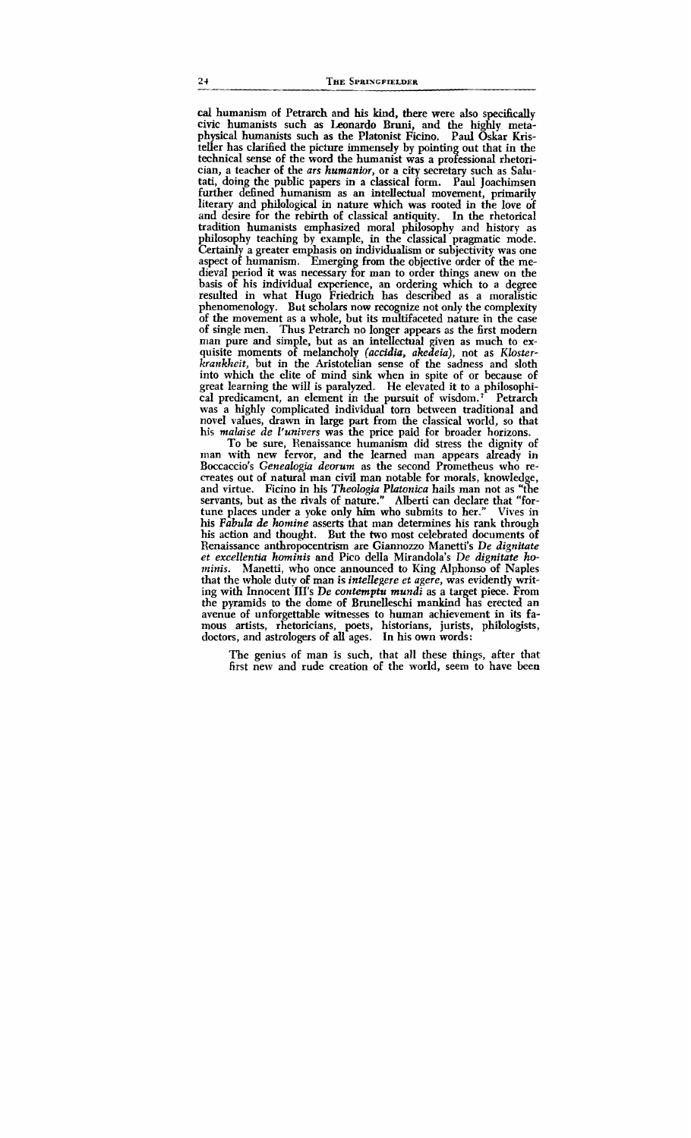**cal** humanism of Petrarch and his kind, there were also specifically civic humanists such as Leonardo Bruni, and the highly metaphysical humanists such as the Platonist Ficino. Paul Oskar Kristeller has clarified the picture immensely by pointing out that in the technical sense of the word the humanist was a professional rhetorician, a teacher of the ars humanior, or a city secretary such as Salutati, doing the public papers in a classical form. Paul Joachimsen further defined humanism as an intellectual movement, primarily literary and philological in nature which was rooted in the love of and desire for the rebirth of classical antiquity. In the rhetorical tradition humanists emphasized moral philosophy and history as philosophy teaching by example, in the classical pragmatic mode. Certainly a greater emphasis on individualism or subjectivity was one philosophy teaching by example, in the classical pragmatic mode.<br>Certainly a greater emphasis on individualism or subjectivity was one<br>aspect of humanism. Emerging from the objective order of the me-<br>diaval period it was p dieval period it was necessary for man to order things anew on the basis of his individual experience, an ordering which to a degree resulted in what Hugo Friedrich has described as a moralistic phenomenology. But scholars now recognize not only the complexity of the movement as a whole, but its multifaceted nature in the case of single men. Thus Petrarch no longer appears **as** the first modern man pure and simple, but as an intellectual given as much to exquisite moments of melancholy (accidia, akedeia), not as Klosterkrankheit, but in the Aristotelian sense of the sadness and sloth into which the elite of mind sink when in spite of or because of great learning the will is paralyzed. He elevated it to a philosophical predicament, an element in the pursuit of wisdom.' Petrarch was a highly complicated individual tom between traditional and novel values, drawn in large part from the classical world, so that his malaise de I'univers was the price paid for broader horizons.

To be sure, Renaissance humanism did stress the dignity of man with new fervor, and the learned man appears already in Boccaccio's Genealogia deorum as the second Prometheus who recreates out of natural man civil man notable for morals, knowledge, and virtue. Ficino in his Theologia PIatonica hails man not as "the servants, but as the rivals of nature." Alberti can declare that "fortune places under a yoke only **him** who submits to her." Vives in his Fabula de homine **asserts** that man determines his rank through his action and thought. But the two most celebrated documents of Renaissance anthropocentrism are Giannozzo Manetti's De dignitate et excellentia hominis and Pico della Mirandola's De dignitate ho-<br>minis. Manetti, who once announced to King Alphonso of Naples Manetti, who once announced to King Alphonso of Naples that the whole duty of man is intellegere et agere, was evidently writing with Innocent Ill's De *contemptu* mundi as a target piece. From the pyramids to the dome of Brunelleschi mankind has erected an avenue of unforgettable witnesses to human achievement in its famous artists, rhetoricians, poets, historians, jurists, philologists, doctors, and astrologers of **all** ages. In his own words:

The genius of man is such, that all these things, after that first new and rude creation of the world, seem to have been

 $2+$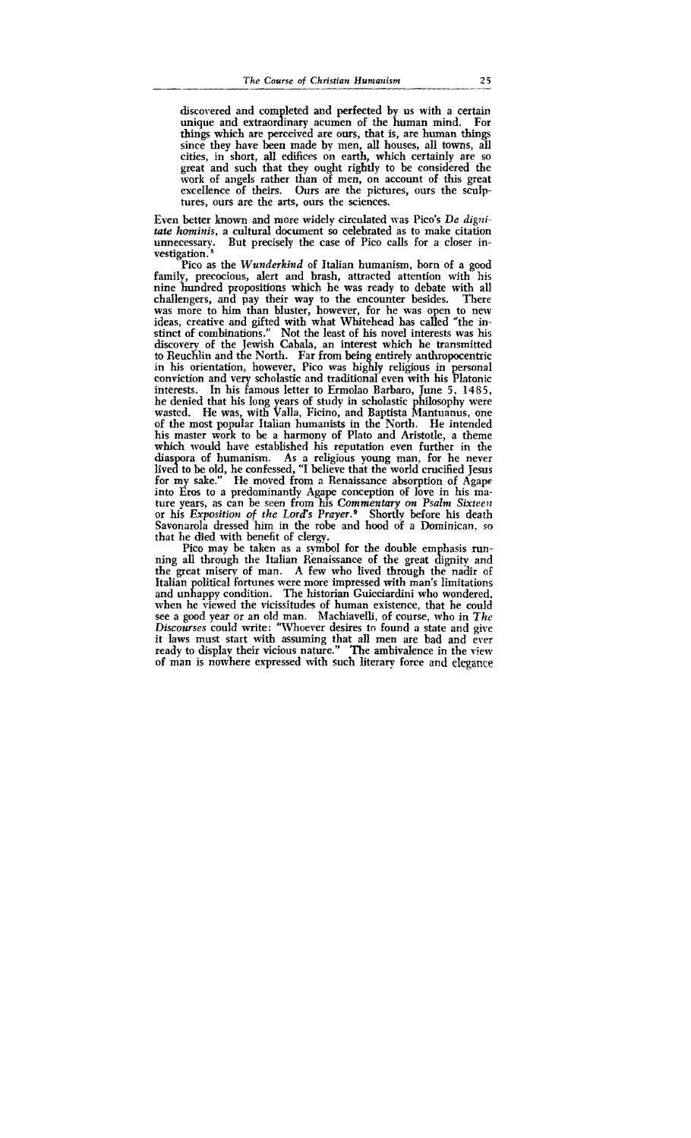discovered and completed and perfected by us with a certain unique and extraordinary acumen of the human mind. For things which are perceived are ours, that is, are human things since they have been made by men, all houses, all towns, all cities, in short, all edifices on earth, which certainly are so great and such that they ought rightly to be considered the work of angels rather than of men, on account of this great excellence of theirs. Ours are the pictures, ours the sculptures, ours are the arts, ours the sciences.

Even better known and more widely circulated was Pico's *De dignitaie hominis,* a cultural document **so** celebrated as to make citation unnecessary. But precisely the case of Pico calls for a closer investigation.<sup>8</sup> unnecessarv.

Pico as the *Wunderkind* of Italian humanism, born of a good family, precocious, alert and brash, attracted attention with his nine hundred propositions which he was ready to debate with all challengers, and pay their way to the encounter besides. There was more to him than bluster, however, for he was open to new ideas, creative and gifted with what Whitehead has called "the instinct of combinations." Not the least of his novel interests was his discovery of the Jewish Cabala, an interest which he transmitted to Reuchlin and the North. Far from being entirely anthropocentric in his orientation, however, Pico was highly religious in personal conviction and very scholastic and traditional even with his Platonic interests. In his famous letter to Ermolao Barbaro, June 5, 1485, he denied that his long years of study in scholastic philosophy were wasted. He was, with Valla, Ficino, and Baptista Mantuanus, one of the most popular Italian humanists in the North. He intended his master work to be a harmony of Plato and Aristotle, a theme which would have established his reputation even further in the diaspora of humanism. As a religious young man, for he never lived to be old, he confessed, "I believe that the world crucified Jesus for my sake." He moved from a Renaissance absorption of Agape into Eros to a predominantly Agape conception of love in his mature years, as can be seen from his *Commentary on Psalm Sixteen* or his *Exposition of the Lord's Prayer.* <sup>9</sup> Shortly before his death Savonarola dressed him in the robe and hood of a Dominican, so that he died with benefit of clergy.

Pico may be taken as a symbol for the double emphasis running all through the Italian Renaissance of the great dignity and the great misery of man. A few who lived through the nadir of Italian political fortunes were more impressed with man's limitations and unhappy condition. The historian Guicciardini who wondered. when he viewed the vicissitudes of human existence, that he could see a good year or an old man. Machiavelli, of course, who in The Discourses could write: "Whoever desires to found a state and give it laws must start with assuming that all men are bad and ever ready to display their vicious nature." The ambivalence in the view of man is nowhere expressed with such literary force and elegance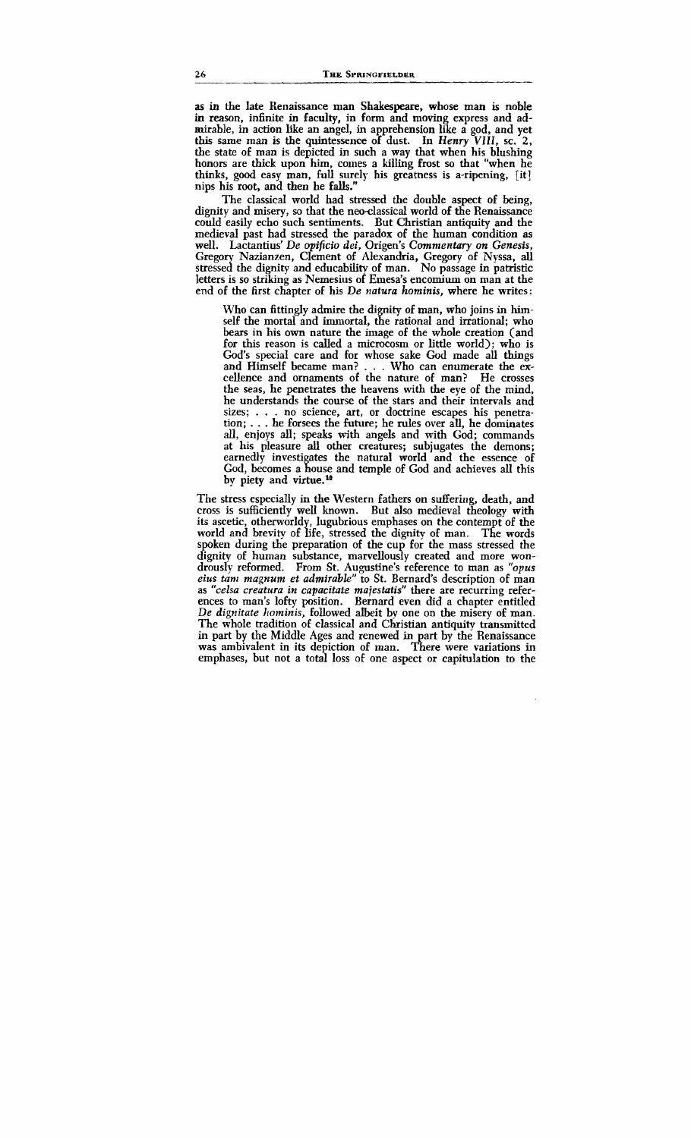as in the late Renaissance man Shakespeare, whose man is noble in reason, infinite in faculty, in form and moving express and admirable, in action like an angel, in apprehension like a god, and yet this same man is the quintessence of dust. In *Henry VIII,* sc. *2,*  the state of man is depicted in such a way that when his blushing honors are thick upon him, comes a killing frost so that "when he thinks, good easy man, **full** surely his greatness is a-ripening, [it] nips his root, and then he falls."

The classical world had stressed the double aspect of being, dignity and misery, so that the neo-classical world of the Renaissance could easily echo such sentiments. But Christian antiquity and the medieval past had stressed the paradox of the human condition as well. Lactantius' *De* **qp\$cio dei,** Origen's *Commentary on Genesis,*  Gregory Nazianzen, Clement of Alexandria, Gregory of Nyssa, all stressed the dignity and educability of man. No passage in patristic letters is so striking as Nemesius of Emesa's encomium on man at the end of the first chapter of his *De natura hominis,* where he writes:

Who can fittingly admire the dignity of man, who joins in himself the mortal and immortal, the rational and irrational; who bears in his own nature the image of the whole creation (and for this reason is called a microcosm or little world); who is God's special care and for whose sake God made all things and Himself became man? . . . Who can enumerate the excellence and ornaments of the nature of man? He crosses the seas, he penetrates the heavens with the eye of the mind, he understands the course of the stars and their intervals and sizes; . . . no science, art, or doctrine escapes his penetration; . . . he forsees the future; he rules over all, he dominates all, enjoys all; speaks with angels and with God; commands at his pleasure **all** other creatures; subjugates the demons; earnedly investigates the natural world and the essence of God, becomes a house and temple of God and achieves all this by piety and virtue.<sup>10</sup>

The stress especially in the Western fathers on suffering, death, and cross is sufficiently well known. But also medieval theology with its ascetic, otherworldy, lugubrious emphases on the contempt of the world and brevity of life, stressed the dignity of man. The words spoken during the preparation of the cup for the mass stressed the dignity of human substance, marvellously created and more wondrously reformed. From St. Augustine's reference to man as *"opus eius tan1 magnum et admirable"* to St. Bernard's description of man as *"celsa creatura in capacitate majestatis"* there are recurring references to man's lofty position. Bernard even did a chapter entitled De *dignitate hominis*, followed albeit by one on the misery of man. The whole tradition of classical and Christian antiquity transmitted in part by the Middle Ages and renewed in part by the Renaissance was ambivalent in its depiction of man. There were variations in emphases, but not a total loss of one aspect or capitulation to the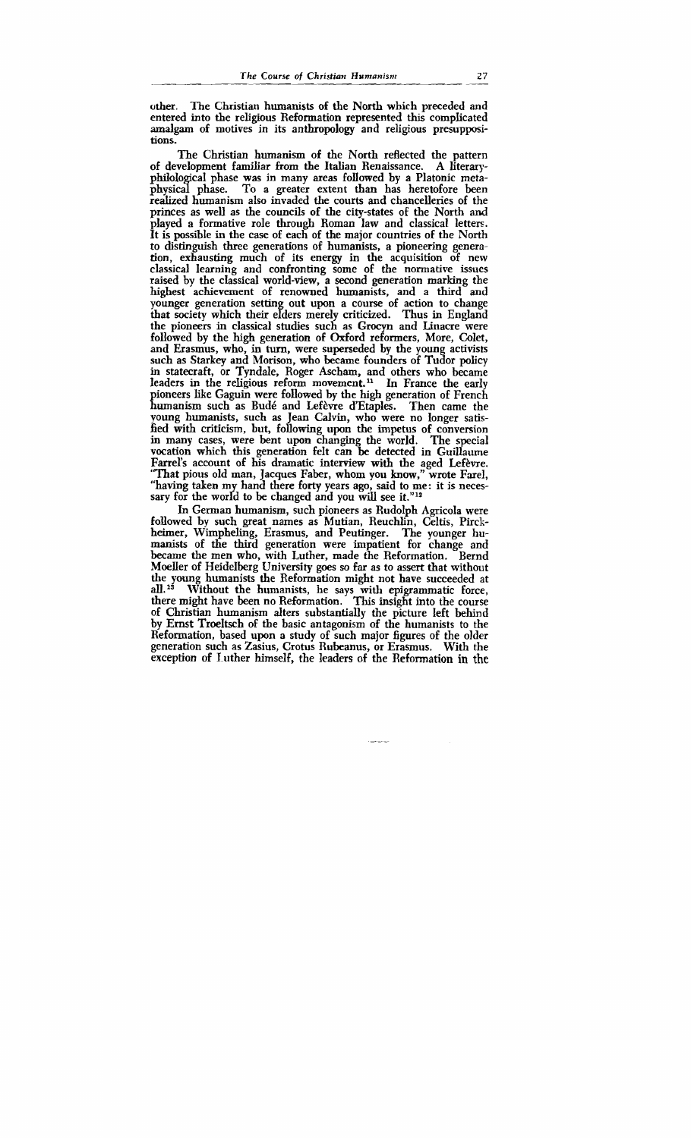other. The Christian humanists of the North which preceded and entered into the religious Reformation represented this complicated amalgam of motives in its anthropology and religious presuppositions.

The Christian humanism of the North reflected the pattern of development familiar from the Italian Renaissance. A literaryphilological phase was in many areas followed by a Platonic metaphysical phase. To a greater extent than has heretofore been realized humanism also invaded the courts and chancelleries of the princes as well as the councils of the city-states of the North **and**  played a formative role through Roman law and classical letters. It is possible in the case of each of the major countries of the North to distinguish three generations of humanists, a pioneering generation, exhausting much of its energy in the acquisition of new classical learning and confronting some of the normative issues raised by the classical world-view, a second generation marking the highest achievement of renowned humanists, and a third and younger generation setting out upon a course of action to change that society which their elders merely criticized. Thus in England the pioneers in classical studies such as **Grocyn** and Linacre were followed by the high generation of Oxford reformers, More, Colet, and Erasmus, who, in turn, were superseded by the young activists such as **Starkey** and Morison, who became founders of Tudor policy in statecraft, or Tyndale, Roger Ascham, and others who became leaders in the religious reform movement.<sup>11</sup> In France the early pioneers like Gaguin were followed by the high generation of French humanism such as Budé and Lefèvre d'Etaples. Then came the young humanists, such as Jean Calvin, who were no longer satisfied with criticism, but, following upon the impetus of conversion in many cases, were bent upon changing the world. The special vocation which this generation felt can be detected in Guillaume Farrel's account of his dramatic interview with the aged Lefèvre. 'That pious old man, Jacques Faber, whom you know," wrote Farel, "having taken my hand there forty years ago, said to me: it is necessary for the world to be changed and you will see it."<sup>12</sup>

In German humanism, such pioneers as Rudolph Agricola were followed by such great names as Mutian, Reuchlin, Celtis, Pirckheimer, Wimpheling, Erasmus, and Peutinger. The younger humanists of the third generation were impatient for change and became the men who, with Luther, made the Reformation. Bernd MoelIer of Heidelberg University goes so far as to assert that without the young humanists the Reformation might not have succeeded at all.<sup>13</sup> Without the humanists, he says with epigrammatic force, there might have been no Reformation. This insight into the course of Christian humanism alters substantially the picture left behind by Ernst Troeltsch of the basic antagonism of the humanists to the Reformation, based upon a study of such major figures of the older generation such as Zasius, Crotus Rubeanus, or Erasmus. With the exception of luther himself, the leaders of the Reformation in the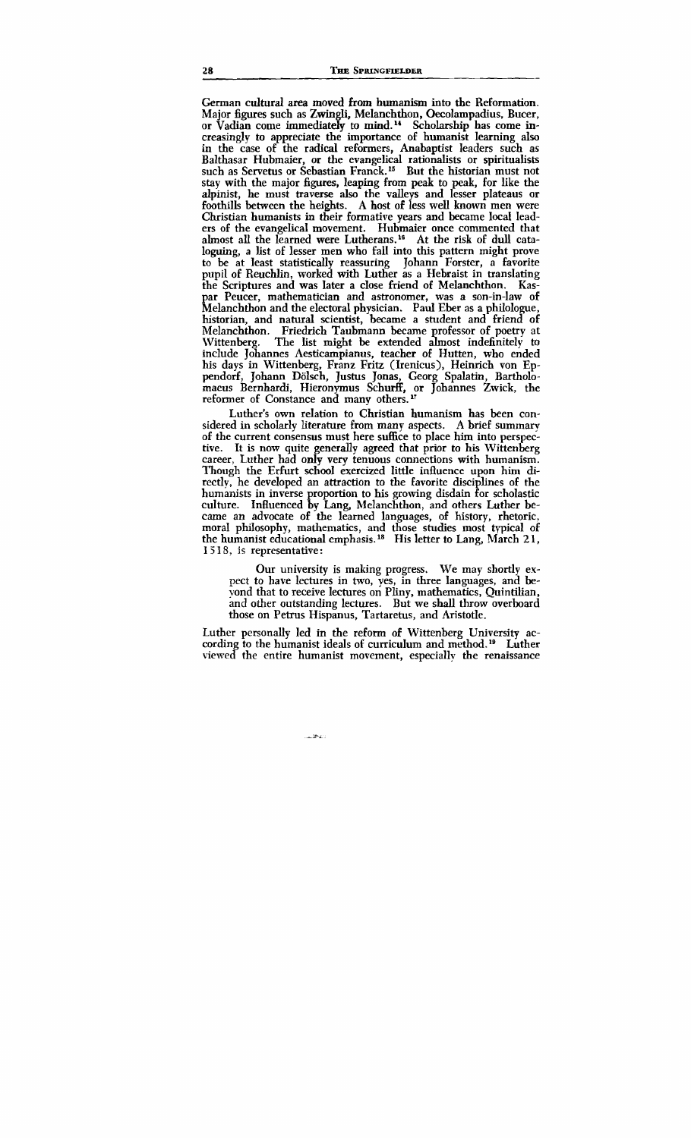German cultural area moved from humanism into the Reformation. Major figures such as **Zwingli,** Melanchthon, Oecolampadius. Bucer, or Vadian come immediately to **mind."** Scholarship has come increasingly to appreciate the importance of humanist learning also in the case of the radical reformers, Anabaptist leaders such as Balthasar Hubmaier, or the evangelical rationalists or spiritualists such as Servetus or Sebastian Franck.<sup>15</sup> But the historian must not stay with the major figures, leaping from peak to peak, for like the alpinist, he must traverse also the valleys and lesser plateaus or foothills between the heights. A host of less well known men were Christian humanists in their formative years and became **local** leaders of the evangelical movement. Hubmaier once commented that almost all the learned were Lutherans.<sup>16</sup> At the risk of dull cataloguing, a list of lesser men who fall into this pattern might prove to be at least statistically reassuring Johann Forster, a favorite pupil of Reuchlin, worked with Luther as a Hebraist in translating the Scriptures and was later a close friend of Melanchthon. Kaspar Peucer, mathematician and astronomer, was a son-in-law of historian, and natural scientist, became a student and friend of Melanchthon. Friedrich Taubmann became professor of poetry at The list might be extended almost indefinitely to include Johannes Aesticampianus, teacher of Hutten, who ended his days in Wittenberg, Franz Fritz (Irenicus), Heinrich von Eppendorf, Johann Dölsch, Justus Jonas, Georg Spalatin, Bartholomaeus Bernhardi, Hieronymus Schurff, or Johannes Zwick, the reformer of Constance and many others."

Luther's own relation to Christian humanism has been considered in scholarly literature from many aspects. A brief summary of the current consensus must here suffice to place **him** into perspective. It is now quite generally agreed that prior to his Wittenberg career, Luther had only very tenuous connections with humanism. Though the Erfurt school exercized little influence upon him directly, he developed an attraction to the favorite disciplines of the humanists in inverse proportion to his growing disdain for scholastic<br>culture. Influenced by Lang. Melanchthon, and others Luther be-Influenced by Lang, Melanchthon, and others Luther became an advocate of the learned languages, of history, rhetoric. moral philosophy, mathematics, and those studies most typical of the humanist educational emphasis.<sup>18</sup> His letter to Lang, March 21, **1** *3* **1** 8, is representative:

Our university is making progress. We may shortly expect to have lectures in two, yes, in three languages, and beyond that to receive lectures on Pliny, mathematics, Quintilian, and other outstanding lectures. But we shall throw overboard those on Petrus Hispanus, Tartaretus, and Aristotle.

Luther personally led in the reform of Wittenberg University according to the humanist ideals of curriculum and method.<sup>19</sup> Luther viewed the entire humanist movement, especiallv the renaissance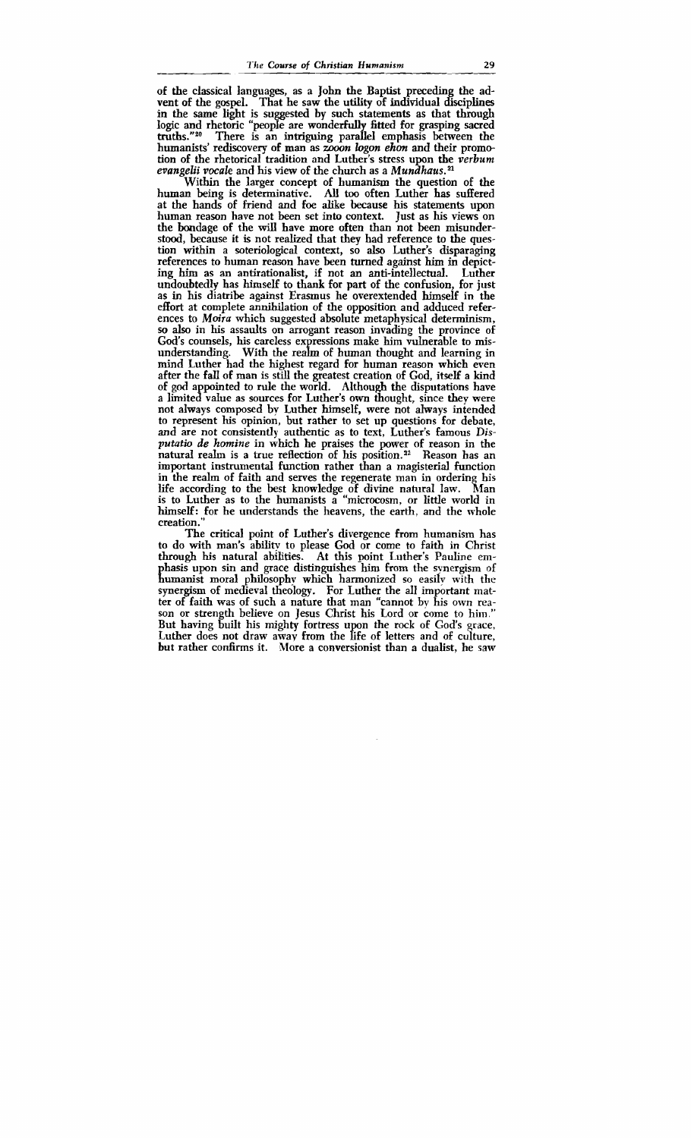of the classical languages, as a John the Baptist preceding the advent of the gospel. That he saw the utility of individual disciplines in the same light is suggested by such statements as that through logic and rhetoric "people are wonderfully fitted for grasping sacred<br>truths."<sup>20</sup> There is an intriguing parallel emphasis between the There is an intriguing parallel emphasis between the humanists' rediscovery of man as zooon logon ehon and their promotion of the rhetorical tradition and Luther's stress upon the **verburn**  evangelii vocale and his view of the church as a Mundhaus. $^{21}$ 

Within the larger concept of humanism the question of the human being is determinative. All too often Luther has suffered at the hands of friend and foe alike because his statements upon human reason have not been set into context. Just as his views on the bondage of the will have more often than not been misunderstood, because it is not realized that they had reference to the question within a soteriological context, so also Luther's disparaging references to human reason have been turned against **him** in depicting him as an antirationalist, if not an anti-intellectual. undoubtedly has himself to thank for part of the confusion, for just as in his diatribe against Erasrnus he overextended himself in the effort at complete annihilation of the opposition and adduced references to Moira which suggested absolute metaphysical determinism, so **also** in his assaults on arrogant reason invading the province of God's counsels, his careless expressions make him vulnerable to misunderstanding. With the realm of human thought and learning in mind Luther had the highest regard for human reason which even after the fall of man is still the greatest creation of God, itself a kind of god appointed to rule the world. Although the disputations have a limited value as sources for Luther's own thought, since they were not always composed by Luther himself, were not always intended to represent his opinion, but rather to set up questions for debate, and are not consistently authentic as to text, Luther's famous Dis*putntio* de *homine* in which he praises the power of reason in the natural realm is a true reflection of his position.<sup>22</sup> Reason has an important instrumental function rather than a magisterial function in the realm of faith and serves the regenerate man in ordering his life according to the best knowledge of divine natural law. Man is to Luther as to the humanists a "microcosm, or little world in himself: for he understands the heavens, the earth, and the whole creation."

The critical point of Luther's divergence from humanism has to do with man's ability to please God or come to faith in Christ through his natural abilities. At this point Luther's Pauline emhasis upon sin and grace distinguishes him from the synergism of Eumanist moral philosophy which harmonized so easily with the synergism of medieval theology. For Luther the all important matter of faith was of such a nature that man "cannot bv his own reason or strength believe on Jesus Christ his Lord or come to him." But having built his mighty fortress upon the rock of God's grace, Luther does not draw away from the life of letters and of culture, but rather confirms it. More a conversionist than a dualist. he saw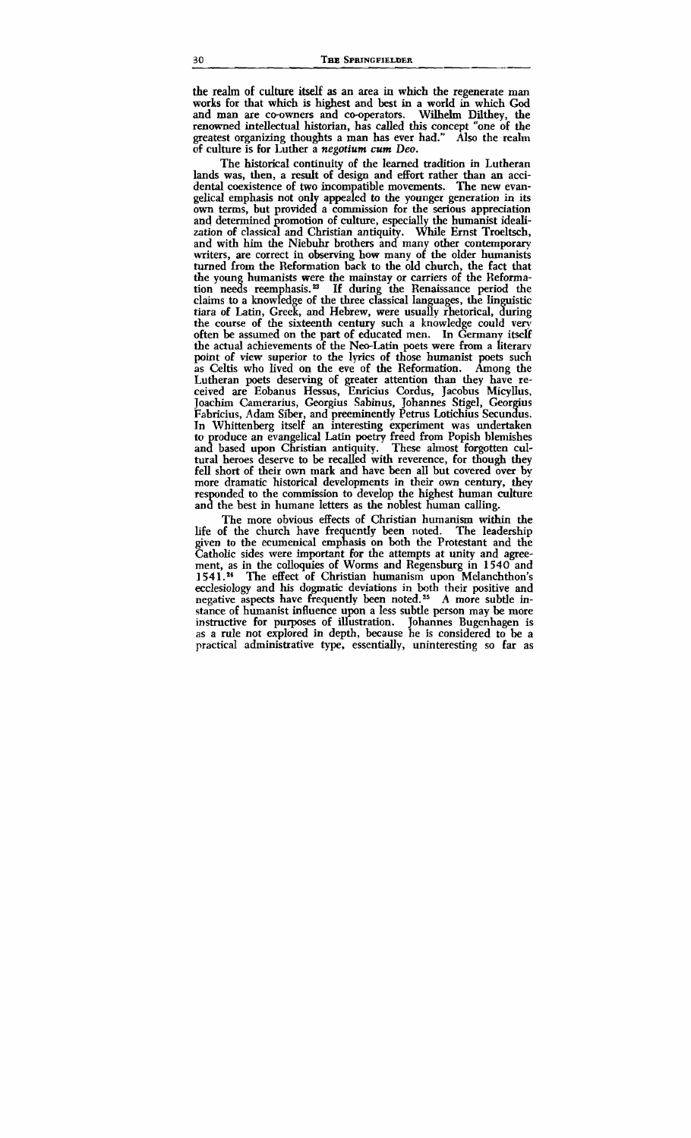**the realm of culture** itself as an area in which the regenerate man works for that which is highest and best in a world in which God and man are co-owners and cooperators. Wilhelm Dilthey, the renowned intellectual historian, has called **this** concept "one of the greatest organizing thoughts a man has ever had." Also the realm of culture is for Luther a negotium **cum** Deo.

The historical continuity of the learned tradition in Lutheran lands was, then, a result of design and effort rather than an accidental coexistence of two incompatible movements. The new evangelical emphasis not only appealed to the younger generation in its own terms, but provided a commission for the serious appreciation and determined promotion of culture, especially the humanist idealization of classical and Christian antiquity. While Ernst Troeltsch, and with him the Niebuhr brothers and many other contemporary writers, are correct in observing how many of the older humanists turned from the Reformation back to the old church, the fact that the young humanists were the mainstay or carriers of the Reformation needs reemphasis.<sup>23</sup> If during the Renaissance period the claims to a knowledge of the three classical languages, the linguistic tiara of Latin, Greek, and Hebrew, were usually rhetorical, during the course of the sixteenth century such a knowledge could ven often be assumed on the part of educated men. In **Gennany** itself the actual achievements of the Neo-Latin poets were from a literarv point of view superior to the lyrics of those humanist poets such as Celtis who lived on the eve of the Reformation. Among the as Celtis who lived on the eve of the Reformation. Among the<br>Lutheran poets deserving of greater attention than they have re-<br>ceived are Eobanus Hessus, Enricius Cordus, Jacobus Micyllus,<br>Joachim Camerarius, Georgius Sabin ceived are Eobanus **Hessus,** Enricius Cordus, Jacobus Micyllus, Joachim Camerarius, Georgius Sabinus, Johannes Stigel, Georgius<br>Fabricius, Adam Siber, and preeminently Petrus Lotichius Secundus. In Whittenberg itself an interesting experiment was undertaken to produce an evangelical Latin poetry freed from Popish blemishes and based upon Christian antiquity. These almost forgotten cultural heroes deserve to be recalled with reverence, for though they fell short of their own mark and have been all but covered over by more dramatic historical developments in their own century, they responded to the commission to develop the highest human culture and the best in humane letters as the noblest human calling.

The more obvious effects of Christian humanism within the life of the church have frequently been noted. The leadership given to the ecumenical emphasis on both the Protestant and the Catholic sides were important for the attempts at unity and agreement, as in the colloquies of Worms and Regensburg in 1540 and 1541.<sup>24</sup> The effect of Christian humanism upon Melanchthon's ecclesiology and his dogmatic deviations in both their positive and negative aspects have frequently been noted.<sup>25</sup> A more subtle instance of humanist influence upon a less subtle person may be more instructive for purposes of illustration. Johannes Bugenhagen is as a rule not explored in depth, because he is considered to be a practical administrative type, essentially, uninteresting **so** far as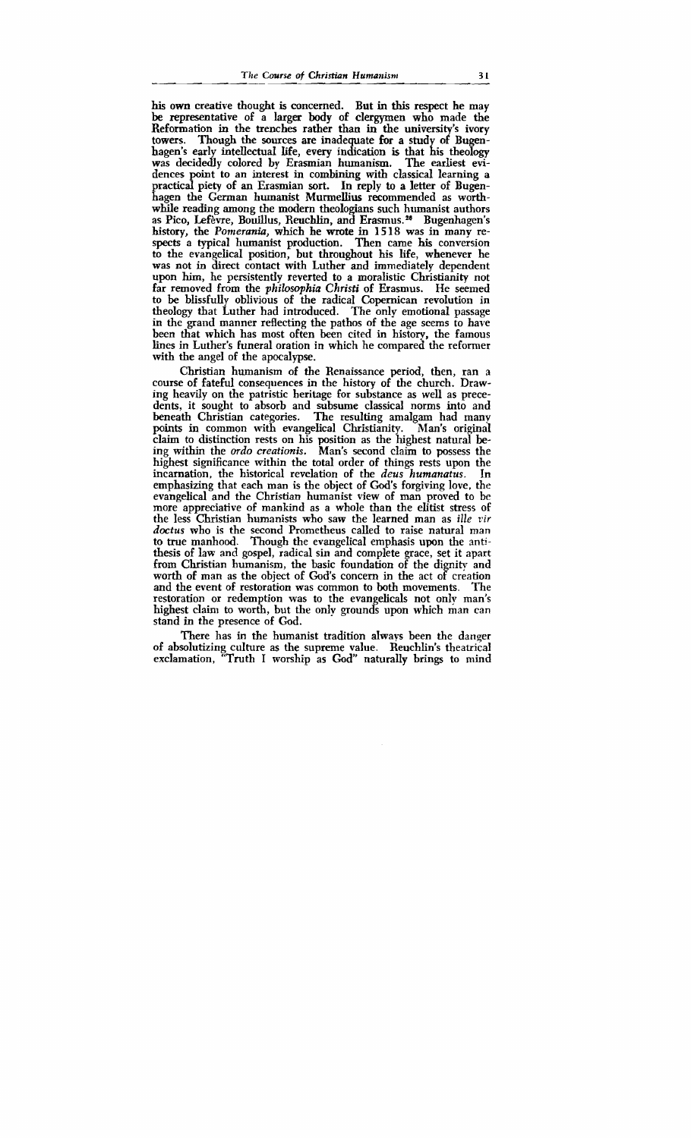his own creative thought is concerned. But in **this** respect he may be representative of a larger body of clergymen who made the Reformation in the trenches rather than in the university's ivory towers. Though the sources are inadequate for a study of Bugen-Though the sources are inadequate for a study of Bugenhagen's early intellectual life, every indication is that his theology was decidedly colored by Erasmian humanism. The earliest evidences point to an interest in combining with classical learning a practical piety of an Erasmian **sort.** In reply to a letter of Bugenhagen the German humanist Murmellius recommended as worthwhile reading among the modern theologians such humanist authors as Pico, Lefèvre, Bouillus, Reuchlin, and Erasmus.<sup>26</sup> Bugenhagen's history, the **Pomerania,** which he **wrote** in **1** 5 18 was in many respects a typical humanist production. Then came his conversion to the evangelical position, but throughout his life, whenever he was not in direct contact with Luther and immediately dependent upon him, he persistentIy reverted to a moralistic Christianity not far removed from the *philosophia Christi* of Erasmus. He seemed to be blissfully oblivious of the radical Copernican revolution in theology that Luther had introduced. The only emotional passage in the grand manner reflecting the pathos of the age seems to have been that which has most often been cited in history, the famous lines in Luther's funeral oration in which he compared the reformer with the angel of the apocalypse.

Christian humanism of the Renaissance period, then, ran a course of fateful consequences in the history of the church. Drawing heavily on the patristic heritage for substance as well as precedents, it sought to absorb and subsume classical norms into and The resulting amalgam had many<br>elical Christianity. Man's original points in common with evangelical Christianity. claim to distinction rests on his position as the highest natural being within the *ordo creationis.* Man's second claim to possess the highest significance within the total order of things rests upon the incarnation, the historical revelation of the *deus* humanatus. In incarnation, the historical revelation of the *deus humanatus*. emphasizing that each man is the object of God's forgiving love, the evangelical and the Christian humanist view of man proved to be more appreciative of mankind as a whole than the elitist stress of the less Christian humanists who saw the learned man as *ille vir doctus* who is the second Prometheus called to raise natural man to true manhood. Though the evangelical emphasis upon the antithesis of law and gospel, radical sin and complete grace, set it apart from Christian humanism, the basic foundation of the dignity and worth of man as the object of God's concern in the act of creation<br>and the event of restoration was common to both movements. The and the event of restoration was common to both movements. restoration or redemption was to the evangelicals not only man's highest claim to worth, but the only grounds upon which man can stand in the presence of God.

There has in the humanist tradition always been the danger of absolutizing culture as the supreme value. Reuchlin's theatrical exclamation, "Truth I worship as God" naturally brings to mind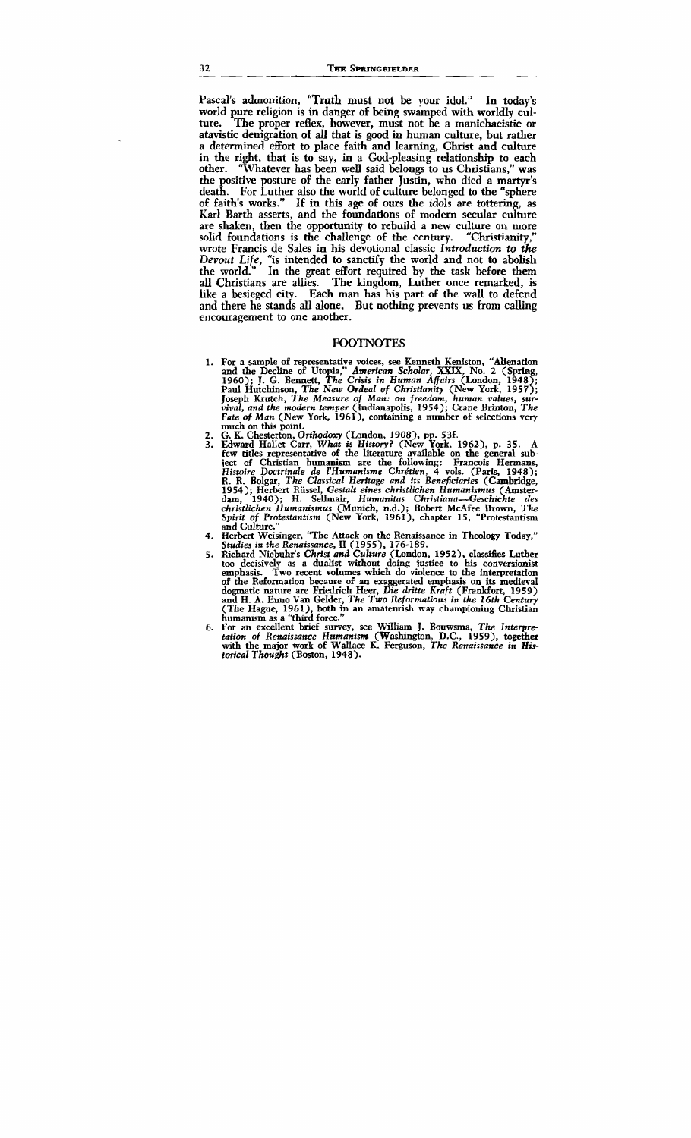Pascal's admonition, "Truth must not be your idol." In today's world pure religion is in danger of being swamped with worldly culture. The proper reflex, however, must not be a manichaeistic or atavistic denigration of **all** that is **good** in human culture, but rather a determined effort to place faith and learning, Christ and culture in the right, that is to say, in a God-pleasing relationship to each other. "Whatever has been well said belongs to us Christians." was "Whatever has been well said belongs to us Christians," was the positive posture of the early father Justin, who died a martyr's death. For Luther also the world of culture belonged to the "sphere of faith's works." If in this age of ours the idols are tottering, as Karl Barth asserts, and the foundations of modem secular culture are shaken, then the opportunity to rebuild a new culture on more solid foundations is the challenge of the century. "Christianity," wrote Francis de Sales in his devotional classic Introduction to the Devout Life, "is intended to sanctify the world and not to abolish the world." In the great effort required by the task before them all Christians are allies. The kingdom, Luther once remarked, is like a besieged city. Each man has his part of the wall to defend and there he stands **all** alone. But nothing prevents us from calling encouragement to one another.

## **FOOTNOTES**

- 1. For a sample of representative voices, see Kenneth Keniston, "Alienation and the Decline of Utopia," American Scholar, XXIX, No. 2 (Spring, 1960); J. G. Bennett, The Crisis in Human Affairs (London, 1948); Paul Hutchinson, The **New** *Ordeal of Christianity* (New York, 1957); Joseph Krutch, *The Measure of* **Mun:** *on freedom, human values, survival, and the modern temper* (Indianapolis, 1954); Crane Brinton, **The Fate of Man** (New York, 1961), containing a number of selections very much on this point.
- **2.** G. K. Chesterton, **Orthodory** (London, 1908), pp. 53f.
- 3. Edward Hallet Carr, What *is History?* (New York, 1962), p. 35. A few titles representative of the literature available on the general sub ject of Christian humanism are the following: Francois **Hermans,**  *Histoire Doctrinale* & *Z'Humanisme Chran,* 4 vols. (Paris, 1948); R. R. Bolgar, *The Classical Heritage and its Beneficiaries* (Cambridge, 1954); Herbert Rüssel, Gestalt eines christlichen Humanismus (Amsterdam, 1940); H. Sellmair, Humanitas Christiana-Geschichte des *christlichen Humanismus* (Munich, n.d.); Robert McAfee **Brown,** *The Spirit of Protestuntism* (New York, 1961), chapter 15, 'Trotestantisrn and Culture."<br>4. Herbert Weisinger, "The Attack on the Renaissance in Theology Today."
- 4. Herbert Weisinger, "The Attack on the Renaissance in Theology Today," *Studies in the Renaissance,* **I1** (1955), 176-189.
- 5. Richard Niebuhr's *Christ and Culture* (London, 1952), classijies Luther too decisively as a dualist without doing justice to **his** conversionist emphasis. Two recent volumes which do violence to the interpretation of the Reformation baause of an exaggerated emphasis on its medieval dogmatic nature are Friedrich Heer, **Die** *dritte &aft* (Frankfort, 1959) and H. A. Enno Van Gelder, *The Two Reformations in the 16th Century*<br>(The Hague, 1961), both in an amateurish way championing Christian humanism as a "third force."
- 6. For an excellent brief survey, see William J. Bouwsma, *The Interpre-***tation** *of Renuissance Humanism* (Washington, D.C., 1959), **together**  with the major work of Wallace K. Ferguson, *The Renaissance in Historical Thought* (Boston, 1948).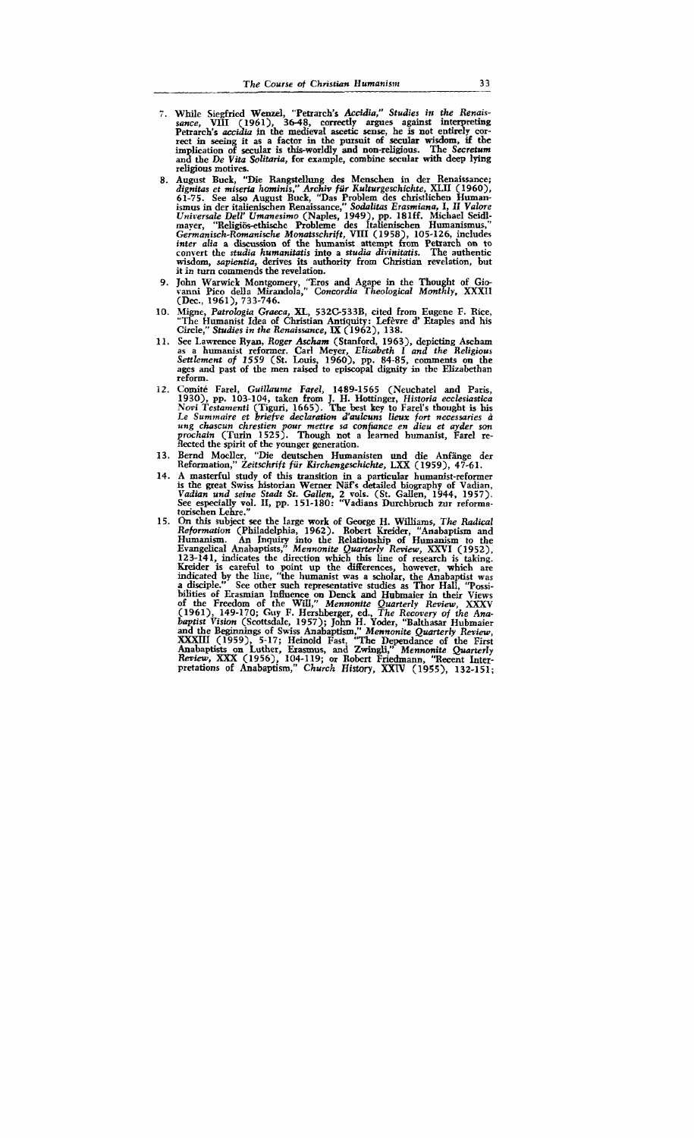- 7. While Siegfried Wenzel, "Petrarch's Accidia," Studies in the Renaissance, VIII (1961), 36-48, correctly argues against interpreting Petrarch's *accidia* **tn** the medieval **ascetic** sense, he is not entirely correct in **seeing** it as a factor in the pursuit of secular wisdom, if the **im** lication of secular is tbis-worldly and non-religious. The *Secretum*  an8 the *De Vita Solitaria,* for example, combine **secular** with deep lying religious motives.
- August Buck, "Die Rangst~llung des Menschen in der Renaissance; *dignitas et miserin hominis, Archiv fiir Kulturgeschichte,* XLII <1960), 61-75. See also August Buck, "Das Problem des christlichen Humanismus in der italienischen Renaissance," S*odalitas Erasmiana*, I, II *Valore*<br>U*niversale Dell' Umanesimo* (Naples, 1949), pp. 181ff. Michael Seidlmaver, "Religiös-ethische Probleme des Italienischen Humanismus, Germanisch-Romanische Monatsschrift, VIII (1958), 105-126, includes *inter alia* a **discussion** of the humanist attempt from Petrarch on to convert the *studia humanitutis* into a *studin divinitatis.* The authentic wisdom, *sapientia,* derives its authority from Christian revelation, but it in turn commends the revelation.
- John Warwick Montgomery, 'Tros and Agape in the Thought of **Giw vanni** Pico della Mirandola," *Concordia Theological Monthly,* XXXII **(Dec.,** 1961). 733-746.
- Migne, *Patrologia Graeca*, XL, 532C-533B, cited from Eugene F. Rice, "The Humanist Idea of Christian Antiquity: Lefèvre d' Etaples and his Circle," *Studies in* the *Renaissance,* **IX** (1962), 138.
- See Lawrence Ryan, Roger Ascham (Stanford, 1963), depicting Ascham<br>as a humanist reformer. Carl Meyer, Elizabeth I and the Religious<br>Settlement of 1559 (St. Louis, 1960), pp. 84-85, comments on the<br>ages and past of the men reform.
- 12. Comité Farel, *Guillaume Farel*, 1489-1565 (Neuchatel and Paris, 1930), pp. 103-1 04, taken from J. H. Hottinger, *Historia ecclesiastics Nwi Testamenti* **(Tiguri,** 1665). The best **key** to Farel's thought is **his**  Le Summaire et briefve declaration d'aulcuns lieux fort necessaries à ung chascun chrestien pour mettre sa confiance en dieu et ayder son prochain (Turin 1525). Though not a learned humanist, Farel reflected the spirit of
- 13. Bernd Moeller, "Die deutschen Humanisten und die Anfänge der Reformation," *Zeitschrift fiir Rirchengeschichte,* **LXX** (1 959), **47-6 1.**
- A masterful study of this transition in a particular humanist-reformer<br>is the great Swiss historian Werner Näf's detailed biography of Vadian,<br>Vadian und seine Stadt St. Gallen, 2 vols. (St. Gallen, 1944, 1957).<br>See especi torischen Lehre."
- On this subject see the large work of George H. Williams, The Radical Reformation (Philadelphia, 1962). Robert Kreider, "Anabaptism and Humanism. An Inquiry into the Relationship of Humanism to the Evangelical Anabaptists, 1234-141, indicated by the line, "the humanist was a scholar, the Anabaptist was a disciple." See other such representative studies as Thor Hall, "Possia disciple." See other such representative studies as Thor Hall, "Possi-<br>bilities of Erasmian Influence on Denck and Hubmaier in their Views *of* the Freedom of the Will," *Mennonite Quarterly Review,* **XXXV**  (1961), 149-170; **Guy** F. Hershberger, ed., *The Recwery of the Anabaptist Vision* (Scottsdde, 1957); John H. Yoder, "Balthasar Hubmaier and the Beginnings of Swiss habaptism: *Mennonite Quarterly Review,*  XXWI (1959), 5-17; Heinold Fast, **'The** Dependance of the First Anabaptists on Luther, Erasmus, and **Zwingli,"** *Mennonite Quarterly Rmb,* XIIX (1956), 104-1 19; or Robert **Friedmann,** "Recent Inter-Review, XXX (1956), 104-119; or Robert Friedmann, "Recent Inter-<br>pretations of Anabaptism," Church History, XXIV (1955), 132-151;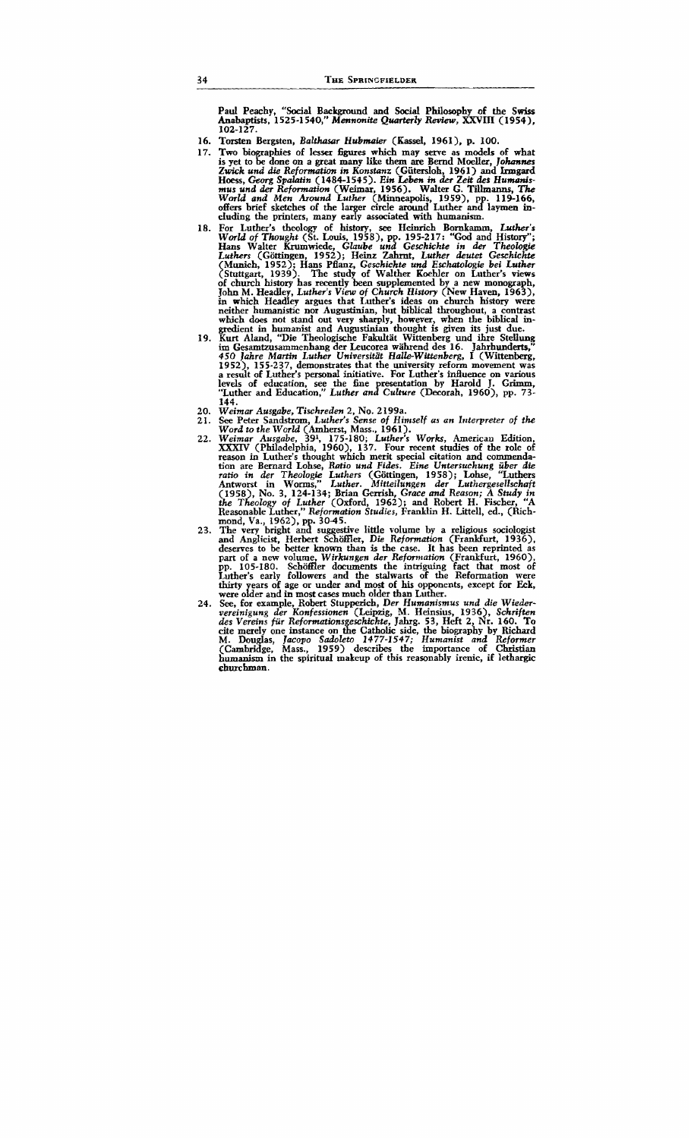Paul Peachy, "Social Background and Social Philosophy of the **Swiss Anabaptists,** 1525-1 540," *Mennonite Quurterly* Review, XXVIII (1954), 102-127.

- 16. Torsten Bergsten, *Balthasar Hubmaier* (Kassel, 1961), p. 100.
- 17. Two biographies of lesser figures which may serve as models of what is yet to be done on a great many like them are Bernd Moeller, *Johannes Zopick und die Refmmzfam in Konsfunz* (Giitersloh, 1961) and **Inngard**  Hoess, Georg *Sp&n* (1484-1545). *Ein Leben in* **der** *Zeit* **&s** *Huw-s*mus und der Reformation (Weimar, 1956). Walter G. Tillmanns, The<br>World and Men Around Luther (Minneapolis, 1959), pp. 119-166,<br>offers brief sketches of the larger circle around Luther and laymen including the printers, many early associated with humanism.
- For Luther's theology of history, **see** Heinrich Bornkamm, *Lurher's World of Thought* (St. Louis, 1958), pp. 195-217: "God and History"; Hans Walter Krumwiede, *Gluube und Geschichte in* der *Theologie Luthers* (Giittingen, 1952); Heinz **Zahrnt,** *Luther* **deutet** *Geschichte*  <sup>t</sup>Munich, 1952); Hans Pflanz, *Geschichte und Eschatologie bei Luther*  Stuttgart, 1939). The study of Walther Koehler on Luther's views of church histoxy has recently been supplemented by a new monograph, **John** M. Headley, *Luther's View of Church History* (New Haven, 1963), neither humanistic nor Augustinian, but biblical throughout, a contrast which does not stand out very sharply, however, when the biblical in-
- gredient in humanist and Augustinian thought is given its just due. **Kurt** Aland, ''Die Theologische Fakultat Wittenberg und **ihre** Stellung im Gesamtzusammenhang der Leucorea während des 16. Jahrhunderts,"<br>450 *Jahre Martin Luther Universität Halle-Wittenberg*, I (Wittenberg, 1952), 155-237, demonstrates that the university reform movement was a result of Luther's personal initiative. For Luther's influence on various levels of education, see the fine presentation by Harold J. Grimm, <br>'Luther and Education," *Luther and Culture* (Decorah, 1960), pp. 73-144.
- *Weimar Ausgabe, Tischreden* 2, No. *2* 199a.  $20.$
- *See* Peter Sandstrom, *Luther's Sense of Himself as an Irtterpreter of the Word to the World* **(Amherst,** Mass., 1961).
- *Weimar Ausgahe,* 391, 175-180; *Luther's Works,* American Edition, XXXIV (Philadelphia, 1960). 137. Four recent studies of the role of reason in Luther's thought which merit special citation and commendation are Bernard Lohse, *Rntio und Fides. Eine Untersuchung iiber die*  ratio in der Theologie Luthers (Göttingen, 1958); Lohse, "Luthers<br>Antworst in Worms," Luther. Mitteilungen der Luthergesellschaft<br>(1958), No. 3, 124-134; Brian Gerrish, Grace and Reason; A Study in<br>the Theology of Luther ( Reasonable Luther," *Reformation Studies, Fr*anklin H. Littell, ed., (Rich-<br>mond. Va., 1962). pp. 30-45.<br>. mond, Va., 1962), pp. 30-45.<br>The very bright and suggestive little volume by a religious sociologist
- 23. and **Andicist,** Herbert Schoffler. *Die Refmmation* (Frankfurt, 1936), deservesto be better known than is the case. It has been reprinted as part of a new volume, *Wirkungen der Reformation* (Frankfurt, 1960), pp. 105-180. Schöffler documents the intriguing fact that most of Luther's early followers and the stalwarts of the Reformation were thirty years of age or under and most of his opponents, except for Eck, were older and in most cases much older than Luther.
- **See,** for example, Robert Stupperich, *Der Humanismus und die Wiedervereinigung der Konfessionen* **(Leipzig,** *M.* Heinsius, 1936). *Schriften des Vereins* **fiir** *Reformations eschichte.* **Jahrg.** 53, Heft 2, Nr. 160. To cite merely one instance on **dte** Catholic side, the biography by Richard M. Douglas, *Jacopo Sadoleto* **1477-1547;** *Humanist and Reformer* (Cambridge. Mass., 1959) describes the importance of Christian humanism in the spiritual makeup of this reasonably irenic, if lethargic churchman.